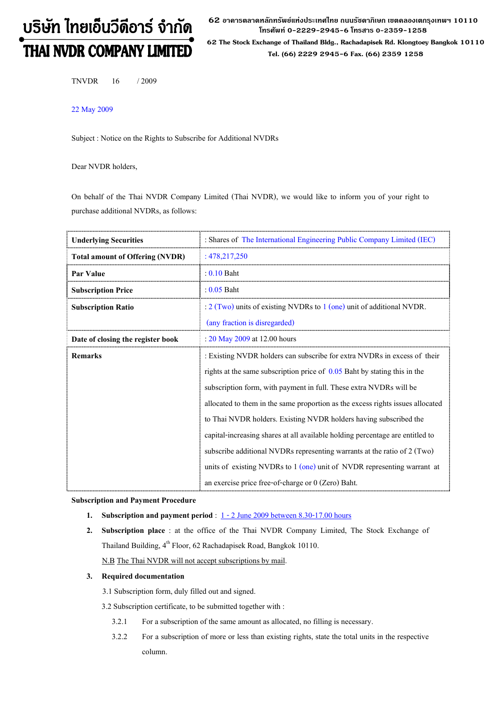# บริษัท ไทยเอ็นวีดีอาร์ จำกัด **THAI NVDR COMPANY LIMITED**

 $\bf 62$  อาดารตลาดหลักทรัพย์แห่งประเทศไทย ถนนรัชดาภิเษก เขตดลองเตกรุงเทพฯ 10110 โทรศัพท์ 0-2229-2945-6 โทรสาร 0-2359-1258

62 The Stock Exchange of Thailand Bldg., Rachadapisek Rd. Klongtoey Bangkok 10110 Tel. (66) 2229 2945-6 Fax. (66) 2359 1258

TNVDR 16 / 2009

22 May 2009

Subject : Notice on the Rights to Subscribe for Additional NVDRs

Dear NVDR holders,

On behalf of the Thai NVDR Company Limited (Thai NVDR), we would like to inform you of your right to purchase additional NVDRs, as follows:

| <b>Underlying Securities</b>           | : Shares of The International Engineering Public Company Limited (IEC)          |  |  |
|----------------------------------------|---------------------------------------------------------------------------------|--|--|
| <b>Total amount of Offering (NVDR)</b> | : 478,217,250                                                                   |  |  |
| Par Value                              | $: 0.10$ Baht                                                                   |  |  |
| <b>Subscription Price</b>              | : $0.05$ Baht                                                                   |  |  |
| <b>Subscription Ratio</b>              | $\frac{1}{2}$ (Two) units of existing NVDRs to 1 (one) unit of additional NVDR. |  |  |
|                                        | (any fraction is disregarded)                                                   |  |  |
| Date of closing the register book      | : 20 May 2009 at 12.00 hours                                                    |  |  |
| <b>Remarks</b>                         | : Existing NVDR holders can subscribe for extra NVDRs in excess of their        |  |  |
|                                        | rights at the same subscription price of $0.05$ Baht by stating this in the     |  |  |
|                                        | subscription form, with payment in full. These extra NVDRs will be              |  |  |
|                                        | allocated to them in the same proportion as the excess rights issues allocated  |  |  |
|                                        | to Thai NVDR holders. Existing NVDR holders having subscribed the               |  |  |
|                                        | capital-increasing shares at all available holding percentage are entitled to   |  |  |
|                                        | subscribe additional NVDRs representing warrants at the ratio of 2 (Two)        |  |  |
|                                        | units of existing NVDRs to $1$ (one) unit of NVDR representing warrant at       |  |  |
|                                        | an exercise price free-of-charge or $0$ (Zero) Baht.                            |  |  |

# Subscription and Payment Procedure

- 1. Subscription and payment period :  $1 2$  June 2009 between 8.30-17.00 hours
- 2. Subscription place : at the office of the Thai NVDR Company Limited, The Stock Exchange of Thailand Building, 4<sup>th</sup> Floor, 62 Rachadapisek Road, Bangkok 10110. N.B The Thai NVDR will not accept subscriptions by mail.

# 3. Required documentation

3.1 Subscription form, duly filled out and signed.

3.2 Subscription certificate, to be submitted together with :

- 3.2.1 For a subscription of the same amount as allocated, no filling is necessary.
- 3.2.2 For a subscription of more or less than existing rights, state the total units in the respective column.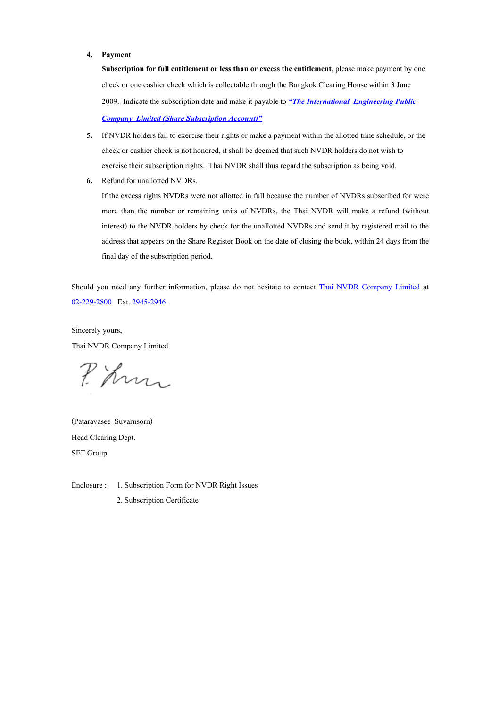### 4. Payment

Subscription for full entitlement or less than or excess the entitlement, please make payment by one check or one cashier check which is collectable through the Bangkok Clearing House within 3 June 2009. Indicate the subscription date and make it payable to "The International Engineering Public **Company Limited (Share Subscription Account)**"

- 5. If NVDR holders fail to exercise their rights or make a payment within the allotted time schedule, or the check or cashier check is not honored, it shall be deemed that such NVDR holders do not wish to exercise their subscription rights. Thai NVDR shall thus regard the subscription as being void.
- 6. Refund for unallotted NVDRs.

If the excess rights NVDRs were not allotted in full because the number of NVDRs subscribed for were more than the number or remaining units of NVDRs, the Thai NVDR will make a refund (without interest) to the NVDR holders by check for the unallotted NVDRs and send it by registered mail to the address that appears on the Share Register Book on the date of closing the book, within 24 days from the final day of the subscription period.

Should you need any further information, please do not hesitate to contact Thai NVDR Company Limited at 02-229-2800 Ext. 2945-2946.

Sincerely yours, Thai NVDR Company Limited

P. Kn

(Pataravasee Suvarnsorn) Head Clearing Dept. SET Group

Enclosure : 1. Subscription Form for NVDR Right Issues

2. Subscription Certificate